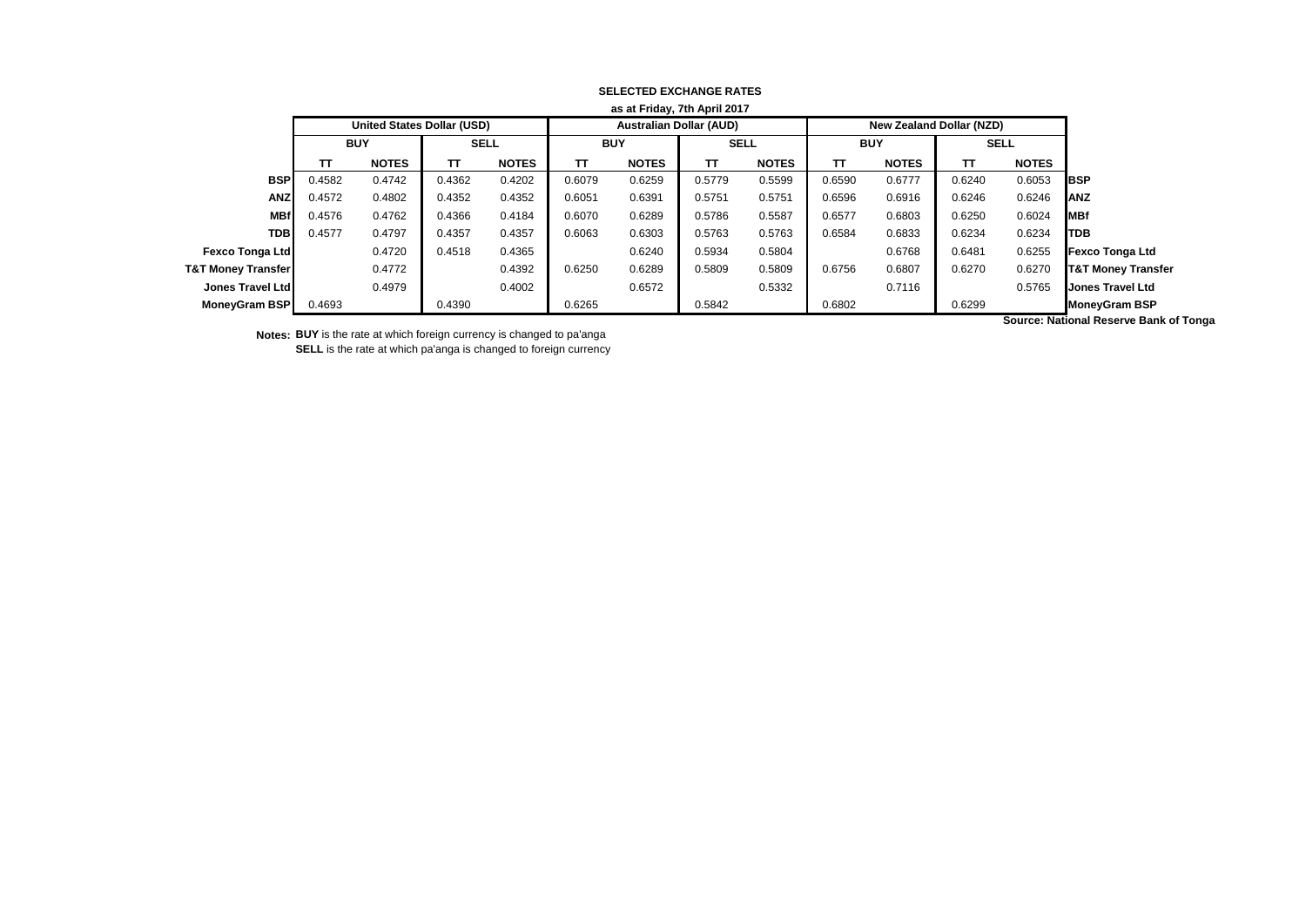| as at Friday, 7th April 2017  |            |              |                                   |              |            |                                |             |              |            |                                 |             |              |                                           |
|-------------------------------|------------|--------------|-----------------------------------|--------------|------------|--------------------------------|-------------|--------------|------------|---------------------------------|-------------|--------------|-------------------------------------------|
|                               |            |              | <b>United States Dollar (USD)</b> |              |            | <b>Australian Dollar (AUD)</b> |             |              |            | <b>New Zealand Dollar (NZD)</b> |             |              |                                           |
|                               | <b>BUY</b> |              | <b>SELL</b>                       |              | <b>BUY</b> |                                | <b>SELL</b> |              | <b>BUY</b> |                                 | <b>SELL</b> |              |                                           |
|                               | тт         | <b>NOTES</b> | π                                 | <b>NOTES</b> | тт         | <b>NOTES</b>                   | тт          | <b>NOTES</b> | TΤ         | <b>NOTES</b>                    | ΤТ          | <b>NOTES</b> |                                           |
| <b>BSP</b>                    | 0.4582     | 0.4742       | 0.4362                            | 0.4202       | 0.6079     | 0.6259                         | 0.5779      | 0.5599       | 0.6590     | 0.6777                          | 0.6240      | 0.6053       | <b>IBSP</b>                               |
| <b>ANZ</b>                    | 0.4572     | 0.4802       | 0.4352                            | 0.4352       | 0.6051     | 0.6391                         | 0.5751      | 0.5751       | 0.6596     | 0.6916                          | 0.6246      | 0.6246       | <b>JANZ</b>                               |
| <b>MBf</b>                    | 0.4576     | 0.4762       | 0.4366                            | 0.4184       | 0.6070     | 0.6289                         | 0.5786      | 0.5587       | 0.6577     | 0.6803                          | 0.6250      | 0.6024       | <b>IMBf</b>                               |
| <b>TDB</b>                    | 0.4577     | 0.4797       | 0.4357                            | 0.4357       | 0.6063     | 0.6303                         | 0.5763      | 0.5763       | 0.6584     | 0.6833                          | 0.6234      | 0.6234       | <b>ITDB</b>                               |
| <b>Fexco Tonga Ltd</b>        |            | 0.4720       | 0.4518                            | 0.4365       |            | 0.6240                         | 0.5934      | 0.5804       |            | 0.6768                          | 0.6481      | 0.6255       | <b>Fexco Tonga Ltd</b>                    |
| <b>T&amp;T Money Transfer</b> |            | 0.4772       |                                   | 0.4392       | 0.6250     | 0.6289                         | 0.5809      | 0.5809       | 0.6756     | 0.6807                          | 0.6270      | 0.6270       | <b>T&amp;T Money Transfer</b>             |
| Jones Travel Ltd              |            | 0.4979       |                                   | 0.4002       |            | 0.6572                         |             | 0.5332       |            | 0.7116                          |             | 0.5765       | <b>Jones Travel Ltd</b>                   |
| <b>MoneyGram BSP</b>          | 0.4693     |              | 0.4390                            |              | 0.6265     |                                | 0.5842      |              | 0.6802     |                                 | 0.6299      |              | <b>MoneyGram BSP</b>                      |
|                               |            |              |                                   |              |            |                                |             |              |            |                                 |             |              | <b>Course: Notional Desarys Dank of T</b> |

## **SELECTED EXCHANGE RATES as at Friday, 7th April 2017**

**Notes: BUY** is the rate at which foreign currency is changed to pa'anga

**SELL** is the rate at which pa'anga is changed to foreign currency

**Source: National Reserve Bank of Tonga**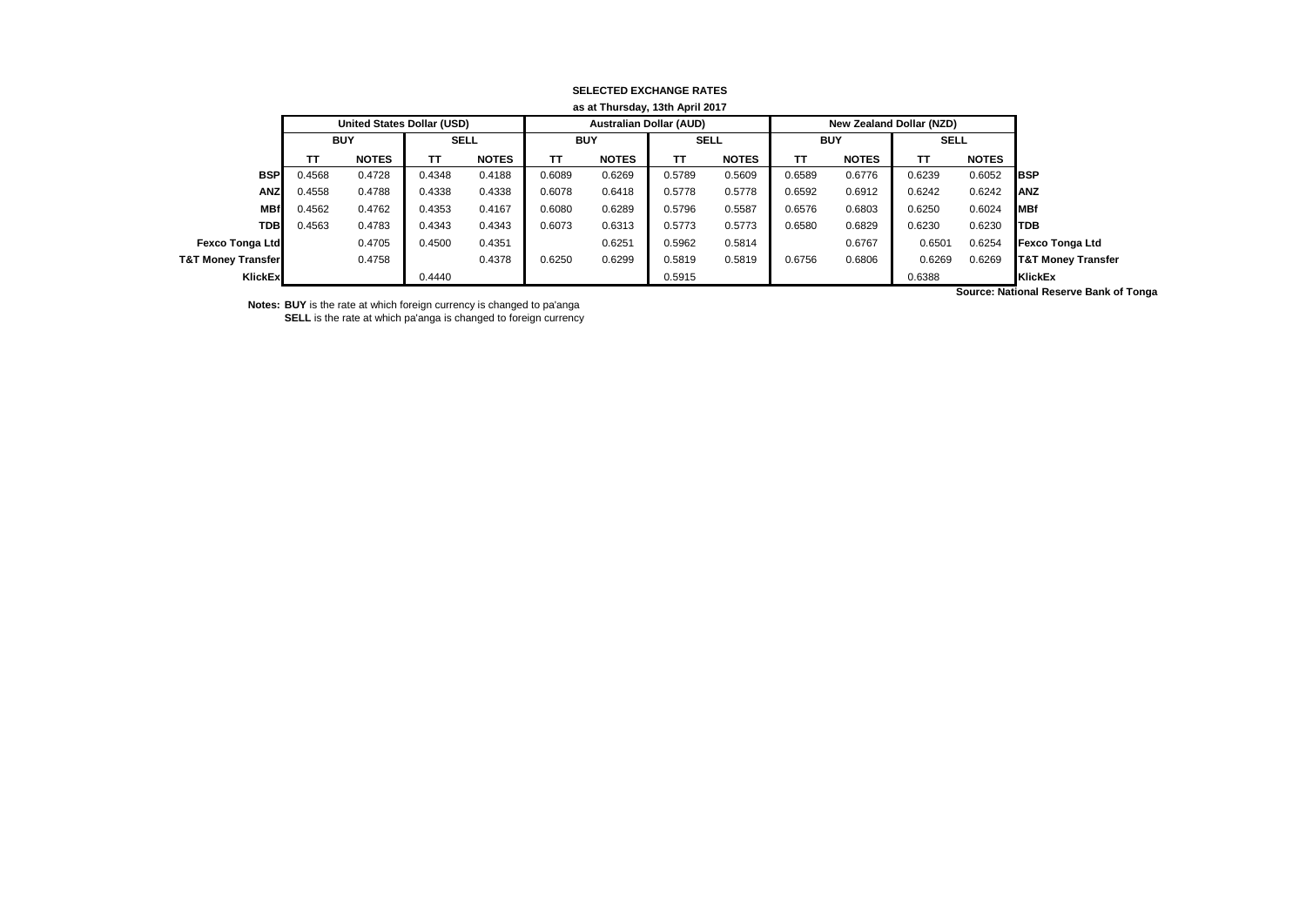| as at Thursday, 13th April 2017 |            |                                   |             |              |            |                                |             |              |            |                          |             |              |                               |
|---------------------------------|------------|-----------------------------------|-------------|--------------|------------|--------------------------------|-------------|--------------|------------|--------------------------|-------------|--------------|-------------------------------|
|                                 |            | <b>United States Dollar (USD)</b> |             |              |            | <b>Australian Dollar (AUD)</b> |             |              |            | New Zealand Dollar (NZD) |             |              |                               |
|                                 | <b>BUY</b> |                                   | <b>SELL</b> |              | <b>BUY</b> |                                | <b>SELL</b> |              | <b>BUY</b> |                          | <b>SELL</b> |              |                               |
|                                 | ΤT         | <b>NOTES</b>                      | TΤ          | <b>NOTES</b> | TT.        | <b>NOTES</b>                   | TΤ          | <b>NOTES</b> | TΤ         | <b>NOTES</b>             | TΤ          | <b>NOTES</b> |                               |
| <b>BSP</b>                      | 0.4568     | 0.4728                            | 0.4348      | 0.4188       | 0.6089     | 0.6269                         | 0.5789      | 0.5609       | 0.6589     | 0.6776                   | 0.6239      | 0.6052       | <b>IBSP</b>                   |
| <b>ANZ</b>                      | 0.4558     | 0.4788                            | 0.4338      | 0.4338       | 0.6078     | 0.6418                         | 0.5778      | 0.5778       | 0.6592     | 0.6912                   | 0.6242      | 0.6242       | <b>JANZ</b>                   |
| <b>MBf</b>                      | 0.4562     | 0.4762                            | 0.4353      | 0.4167       | 0.6080     | 0.6289                         | 0.5796      | 0.5587       | 0.6576     | 0.6803                   | 0.6250      | 0.6024       | <b>IMBf</b>                   |
| <b>TDB</b>                      | 0.4563     | 0.4783                            | 0.4343      | 0.4343       | 0.6073     | 0.6313                         | 0.5773      | 0.5773       | 0.6580     | 0.6829                   | 0.6230      | 0.6230       | <b>ITDB</b>                   |
| Fexco Tonga Ltd                 |            | 0.4705                            | 0.4500      | 0.4351       |            | 0.6251                         | 0.5962      | 0.5814       |            | 0.6767                   | 0.6501      | 0.6254       | <b>Fexco Tonga Ltd</b>        |
| <b>T&amp;T Money Transfer</b>   |            | 0.4758                            |             | 0.4378       | 0.6250     | 0.6299                         | 0.5819      | 0.5819       | 0.6756     | 0.6806                   | 0.6269      | 0.6269       | <b>T&amp;T Money Transfer</b> |
| KlickEx                         |            |                                   | 0.4440      |              |            |                                | 0.5915      |              |            |                          | 0.6388      |              | KlickEx                       |

## **SELECTED EXCHANGE RATES**

**Notes: BUY** is the rate at which foreign currency is changed to pa'anga **SELL** is the rate at which pa'anga is changed to foreign currency **Source: National Reserve Bank of Tonga**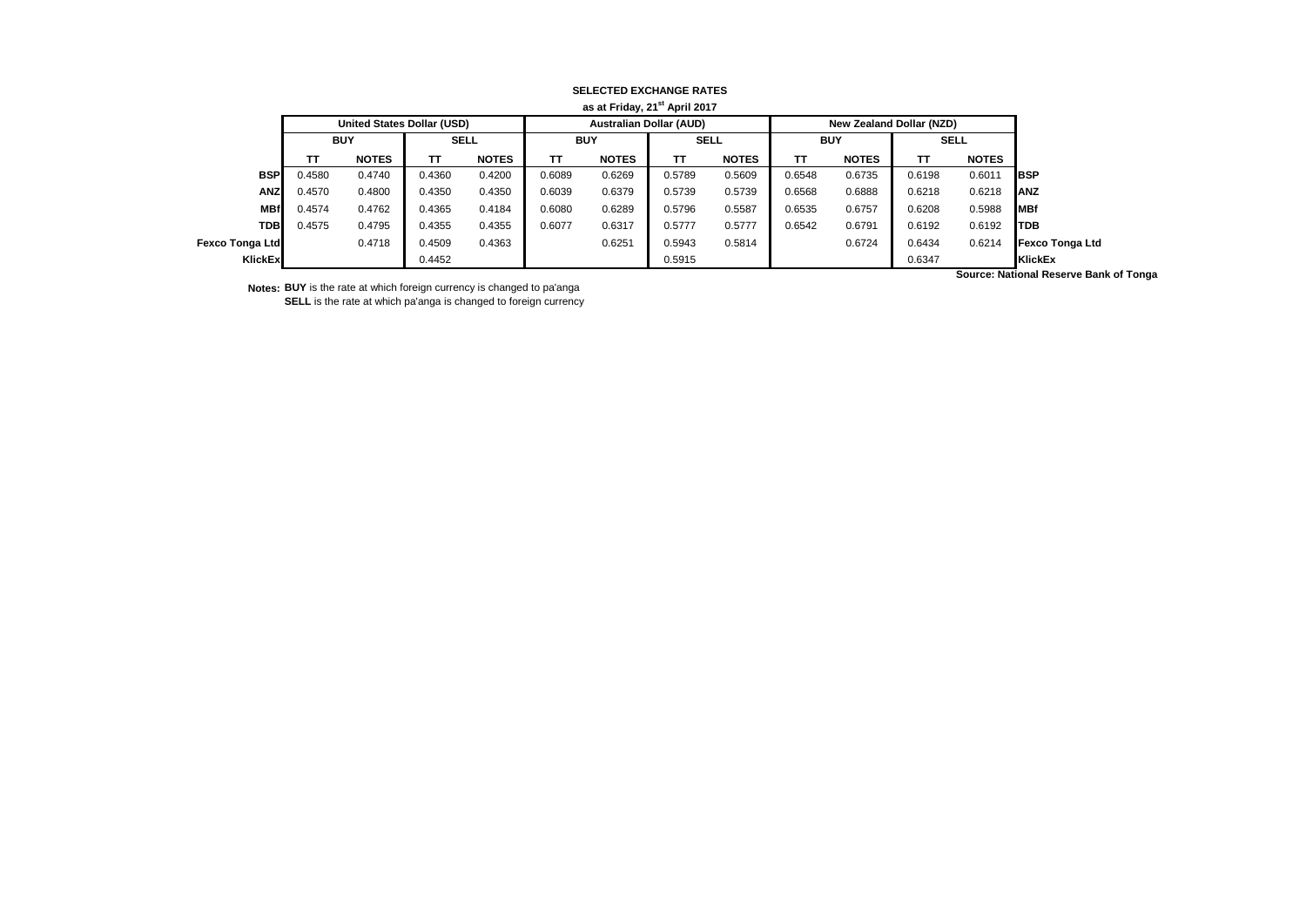|                 | as at Friday, 21 <sup>st</sup> April 2017 |                            |             |              |            |                                |             |              |                          |              |             |              |                        |
|-----------------|-------------------------------------------|----------------------------|-------------|--------------|------------|--------------------------------|-------------|--------------|--------------------------|--------------|-------------|--------------|------------------------|
|                 |                                           | United States Dollar (USD) |             |              |            | <b>Australian Dollar (AUD)</b> |             |              | New Zealand Dollar (NZD) |              |             |              |                        |
|                 | <b>BUY</b>                                |                            | <b>SELL</b> |              | <b>BUY</b> |                                | <b>SELL</b> |              | <b>BUY</b>               |              | <b>SELL</b> |              |                        |
|                 | TΤ                                        | <b>NOTES</b>               | тт          | <b>NOTES</b> | ΤТ         | <b>NOTES</b>                   | TΤ          | <b>NOTES</b> | ΤT                       | <b>NOTES</b> | ΤT          | <b>NOTES</b> |                        |
| <b>BSP</b>      | 0.4580                                    | 0.4740                     | 0.4360      | 0.4200       | 0.6089     | 0.6269                         | 0.5789      | 0.5609       | 0.6548                   | 0.6735       | 0.6198      | 0.6011       | <b>IBSP</b>            |
| <b>ANZ</b>      | 0.4570                                    | 0.4800                     | 0.4350      | 0.4350       | 0.6039     | 0.6379                         | 0.5739      | 0.5739       | 0.6568                   | 0.6888       | 0.6218      | 0.6218       | <b>IANZ</b>            |
| <b>MBf</b>      | 0.4574                                    | 0.4762                     | 0.4365      | 0.4184       | 0.6080     | 0.6289                         | 0.5796      | 0.5587       | 0.6535                   | 0.6757       | 0.6208      | 0.5988       | <b>MBf</b>             |
| <b>TDB</b>      | 0.4575                                    | 0.4795                     | 0.4355      | 0.4355       | 0.6077     | 0.6317                         | 0.5777      | 0.5777       | 0.6542                   | 0.6791       | 0.6192      | 0.6192       | <b>ITDB</b>            |
| Fexco Tonga Ltd |                                           | 0.4718                     | 0.4509      | 0.4363       |            | 0.6251                         | 0.5943      | 0.5814       |                          | 0.6724       | 0.6434      | 0.6214       | <b>Fexco Tonga Ltd</b> |
| KlickEx         |                                           |                            | 0.4452      |              |            |                                | 0.5915      |              |                          |              | 0.6347      |              | KlickEx                |

**SELECTED EXCHANGE RATES**

**Notes: BUY** is the rate at which foreign currency is changed to pa'anga **SELL** is the rate at which pa'anga is changed to foreign currency **Source: National Reserve Bank of Tonga**